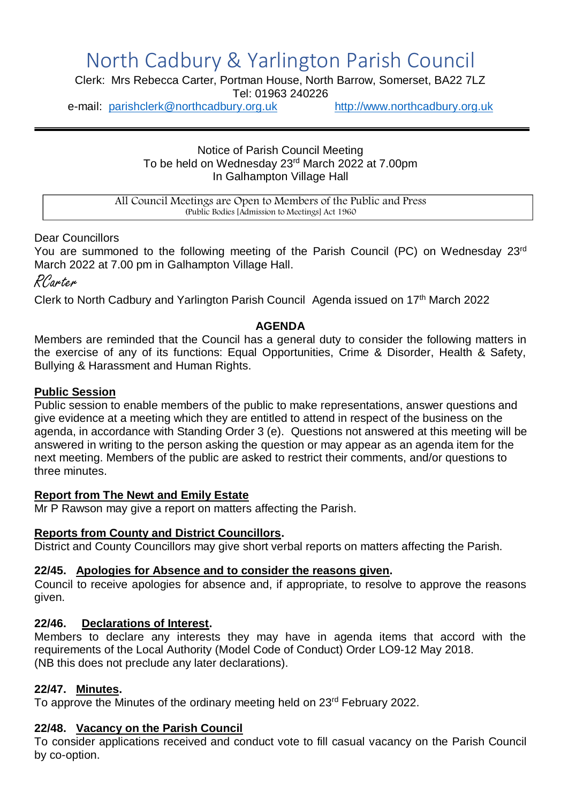# North Cadbury & Yarlington Parish Council

Clerk: Mrs Rebecca Carter, Portman House, North Barrow, Somerset, BA22 7LZ

Tel: 01963 240226

e-mail: [parishclerk@northcadbury.org.uk](mailto:parishclerk@northcadbury.org.uk) [http://www.northcadbury.org.uk](http://www.northcadbury.org.uk/)

Notice of Parish Council Meeting To be held on Wednesday 23rd March 2022 at 7.00pm In Galhampton Village Hall

All Council Meetings are Open to Members of the Public and Press (Public Bodies [Admission to Meetings] Act 1960

#### Dear Councillors

You are summoned to the following meeting of the Parish Council (PC) on Wednesday 23rd March 2022 at 7.00 pm in Galhampton Village Hall.

RCarter

Clerk to North Cadbury and Yarlington Parish Council Agenda issued on 17<sup>th</sup> March 2022

## **AGENDA**

Members are reminded that the Council has a general duty to consider the following matters in the exercise of any of its functions: Equal Opportunities, Crime & Disorder, Health & Safety, Bullying & Harassment and Human Rights.

## **Public Session**

Public session to enable members of the public to make representations, answer questions and give evidence at a meeting which they are entitled to attend in respect of the business on the agenda, in accordance with Standing Order 3 (e). Questions not answered at this meeting will be answered in writing to the person asking the question or may appear as an agenda item for the next meeting. Members of the public are asked to restrict their comments, and/or questions to three minutes.

#### **Report from The Newt and Emily Estate**

Mr P Rawson may give a report on matters affecting the Parish.

#### **Reports from County and District Councillors.**

District and County Councillors may give short verbal reports on matters affecting the Parish.

#### **22/45. Apologies for Absence and to consider the reasons given.**

Council to receive apologies for absence and, if appropriate, to resolve to approve the reasons given.

#### **22/46. Declarations of Interest.**

Members to declare any interests they may have in agenda items that accord with the requirements of the Local Authority (Model Code of Conduct) Order LO9-12 May 2018. (NB this does not preclude any later declarations).

#### **22/47. Minutes.**

To approve the Minutes of the ordinary meeting held on 23<sup>rd</sup> February 2022.

# **22/48. Vacancy on the Parish Council**

To consider applications received and conduct vote to fill casual vacancy on the Parish Council by co-option.